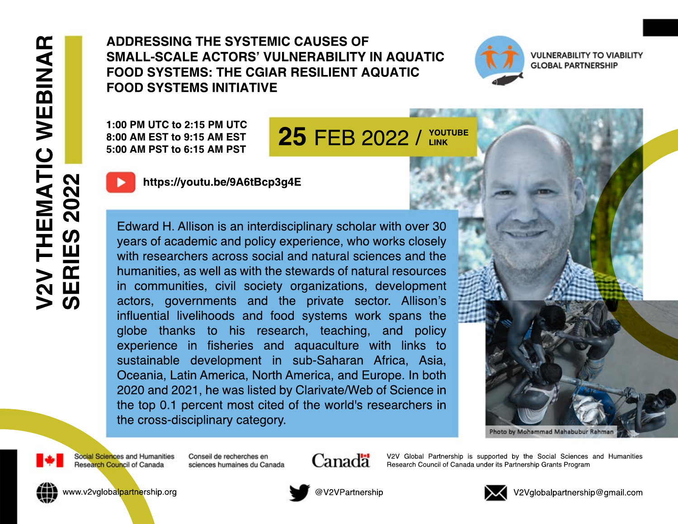ADDRESSING THE SYSTEMIC CAUSES OF **SMALL-SCALE ACTORS' VULNERABILITY IN AQUATIC FOOD SYSTEMS: THE CGIAR RESILIENT AQUATIC FOOD SYSTEMS INITIATIVE** 

1:00 PM UTC to 2:15 PM UTC 8:00 AM EST to 9:15 AM EST 5:00 AM PST to 6:15 AM PST

**25 FEB 2022 / YOUTUBE** 

## https://youtu.be/9A6tBcp3q4E

Edward H. Allison is an interdisciplinary scholar with over 30 years of academic and policy experience, who works closely with researchers across social and natural sciences and the humanities, as well as with the stewards of natural resources in communities, civil society organizations, development actors, governments and the private sector. Allison's influential livelihoods and food systems work spans the globe thanks to his research, teaching, and policy experience in fisheries and aquaculture with links to sustainable development in sub-Saharan Africa, Asia, Oceania, Latin America, North America, and Europe. In both 2020 and 2021, he was listed by Clarivate/Web of Science in the top 0.1 percent most cited of the world's researchers in the cross-disciplinary category.



Photo by Mohammad Mahabubur Rahmar



Conseil de recherches en sciences humaines du Canada Canadä

V2V Global Partnership is supported by the Social Sciences and Humanities Research Council of Canada under its Partnership Grants Program



www.v2vglobalpartnership.org



@V2VPartnership



V2Vglobalpartnership@gmail.com